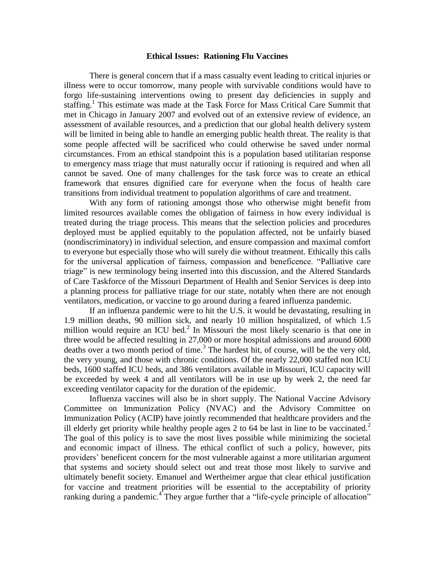## **Ethical Issues: Rationing Flu Vaccines**

There is general concern that if a mass casualty event leading to critical injuries or illness were to occur tomorrow, many people with survivable conditions would have to forgo life-sustaining interventions owing to present day deficiencies in supply and staffing.<sup>1</sup> This estimate was made at the Task Force for Mass Critical Care Summit that met in Chicago in January 2007 and evolved out of an extensive review of evidence, an assessment of available resources, and a prediction that our global health delivery system will be limited in being able to handle an emerging public health threat. The reality is that some people affected will be sacrificed who could otherwise be saved under normal circumstances. From an ethical standpoint this is a population based utilitarian response to emergency mass triage that must naturally occur if rationing is required and when all cannot be saved. One of many challenges for the task force was to create an ethical framework that ensures dignified care for everyone when the focus of health care transitions from individual treatment to population algorithms of care and treatment.

With any form of rationing amongst those who otherwise might benefit from limited resources available comes the obligation of fairness in how every individual is treated during the triage process. This means that the selection policies and procedures deployed must be applied equitably to the population affected, not be unfairly biased (nondiscriminatory) in individual selection, and ensure compassion and maximal comfort to everyone but especially those who will surely die without treatment. Ethically this calls for the universal application of fairness, compassion and beneficence. "Palliative care triage" is new terminology being inserted into this discussion, and the Altered Standards of Care Taskforce of the Missouri Department of Health and Senior Services is deep into a planning process for palliative triage for our state, notably when there are not enough ventilators, medication, or vaccine to go around during a feared influenza pandemic.

If an influenza pandemic were to hit the U.S. it would be devastating, resulting in 1.9 million deaths, 90 million sick, and nearly 10 million hospitalized, of which 1.5 million would require an ICU bed. $^2$  In Missouri the most likely scenario is that one in three would be affected resulting in 27,000 or more hospital admissions and around 6000 deaths over a two month period of time.<sup>3</sup> The hardest hit, of course, will be the very old, the very young, and those with chronic conditions. Of the nearly 22,000 staffed non ICU beds, 1600 staffed ICU beds, and 386 ventilators available in Missouri, ICU capacity will be exceeded by week 4 and all ventilators will be in use up by week 2, the need far exceeding ventilator capacity for the duration of the epidemic.

Influenza vaccines will also be in short supply. The National Vaccine Advisory Committee on Immunization Policy (NVAC) and the Advisory Committee on Immunization Policy (ACIP) have jointly recommended that healthcare providers and the ill elderly get priority while healthy people ages 2 to 64 be last in line to be vaccinated.<sup>2</sup> The goal of this policy is to save the most lives possible while minimizing the societal and economic impact of illness. The ethical conflict of such a policy, however, pits providers' beneficent concern for the most vulnerable against a more utilitarian argument that systems and society should select out and treat those most likely to survive and ultimately benefit society. Emanuel and Wertheimer argue that clear ethical justification for vaccine and treatment priorities will be essential to the acceptability of priority ranking during a pandemic.<sup>4</sup> They argue further that a "life-cycle principle of allocation"